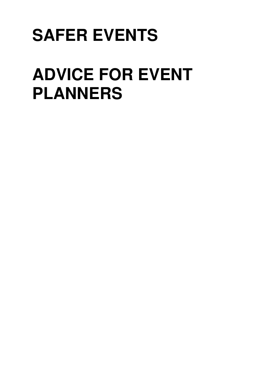# **SAFER EVENTS**

# **ADVICE FOR EVENT PLANNERS**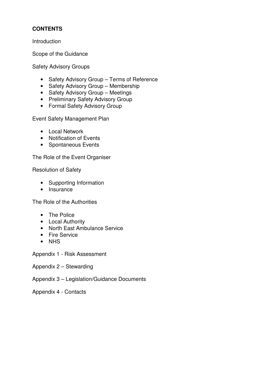# **CONTENTS**

Introduction

Scope of the Guidance

Safety Advisory Groups

- Safety Advisory Group Terms of Reference
- Safety Advisory Group Membership
- Safety Advisory Group Meetings
- Preliminary Safety Advisory Group
- Formal Safety Advisory Group

Event Safety Management Plan

- Local Network
- Notification of Events
- Spontaneous Events

The Role of the Event Organiser

Resolution of Safety

- Supporting Information
- Insurance

The Role of the Authorities

- The Police
- Local Authority
- North East Ambulance Service
- Fire Service
- NHS

Appendix 1 - Risk Assessment

- Appendix 2 Stewarding
- Appendix 3 Legislation/Guidance Documents

Appendix 4 - Contacts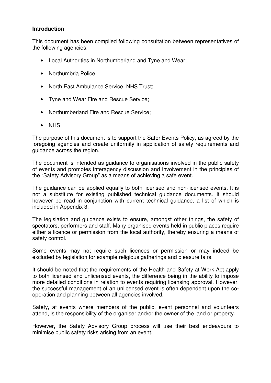## **Introduction**

This document has been compiled following consultation between representatives of the following agencies:

- Local Authorities in Northumberland and Tyne and Wear;
- Northumbria Police
- North East Ambulance Service, NHS Trust;
- Tyne and Wear Fire and Rescue Service;
- Northumberland Fire and Rescue Service;
- NHS

The purpose of this document is to support the Safer Events Policy, as agreed by the foregoing agencies and create uniformity in application of safety requirements and guidance across the region.

The document is intended as guidance to organisations involved in the public safety of events and promotes interagency discussion and involvement in the principles of the "Safety Advisory Group" as a means of achieving a safe event.

The guidance can be applied equally to both licensed and non-licensed events. It is not a substitute for existing published technical guidance documents. It should however be read in conjunction with current technical guidance, a list of which is included in Appendix 3.

The legislation and guidance exists to ensure, amongst other things, the safety of spectators, performers and staff. Many organised events held in public places require either a licence or permission from the local authority, thereby ensuring a means of safety control.

Some events may not require such licences or permission or may indeed be excluded by legislation for example religious gatherings and pleasure fairs.

It should be noted that the requirements of the Health and Safety at Work Act apply to both licensed and unlicensed events, the difference being in the ability to impose more detailed conditions in relation to events requiring licensing approval. However, the successful management of an unlicensed event is often dependent upon the cooperation and planning between all agencies involved.

Safety, at events where members of the public, event personnel and volunteers attend, is the responsibility of the organiser and/or the owner of the land or property.

However, the Safety Advisory Group process will use their best endeavours to minimise public safety risks arising from an event.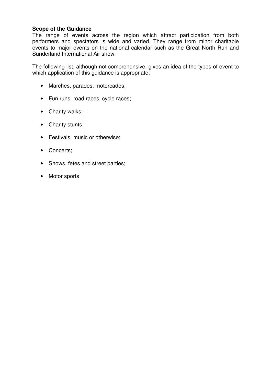## **Scope of the Guidance**

The range of events across the region which attract participation from both performers and spectators is wide and varied. They range from minor charitable events to major events on the national calendar such as the Great North Run and Sunderland International Air show.

The following list, although not comprehensive, gives an idea of the types of event to which application of this guidance is appropriate:

- Marches, parades, motorcades;
- Fun runs, road races, cycle races;
- Charity walks;
- Charity stunts;
- Festivals, music or otherwise;
- Concerts;
- Shows, fetes and street parties;
- Motor sports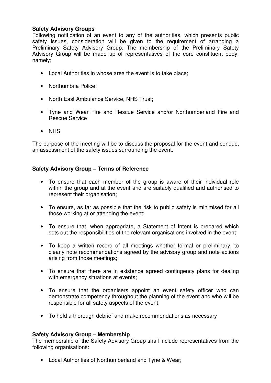# **Safety Advisory Groups**

Following notification of an event to any of the authorities, which presents public safety issues, consideration will be given to the requirement of arranging a Preliminary Safety Advisory Group. The membership of the Preliminary Safety Advisory Group will be made up of representatives of the core constituent body, namely;

- Local Authorities in whose area the event is to take place;
- Northumbria Police;
- North East Ambulance Service, NHS Trust;
- Tyne and Wear Fire and Rescue Service and/or Northumberland Fire and Rescue Service
- NHS

The purpose of the meeting will be to discuss the proposal for the event and conduct an assessment of the safety issues surrounding the event.

## **Safety Advisory Group – Terms of Reference**

- To ensure that each member of the group is aware of their individual role within the group and at the event and are suitably qualified and authorised to represent their organisation;
- To ensure, as far as possible that the risk to public safety is minimised for all those working at or attending the event;
- To ensure that, when appropriate, a Statement of Intent is prepared which sets out the responsibilities of the relevant organisations involved in the event;
- To keep a written record of all meetings whether formal or preliminary, to clearly note recommendations agreed by the advisory group and note actions arising from those meetings;
- To ensure that there are in existence agreed contingency plans for dealing with emergency situations at events;
- To ensure that the organisers appoint an event safety officer who can demonstrate competency throughout the planning of the event and who will be responsible for all safety aspects of the event;
- To hold a thorough debrief and make recommendations as necessary

## **Safety Advisory Group – Membership**

The membership of the Safety Advisory Group shall include representatives from the following organisations:

• Local Authorities of Northumberland and Tyne & Wear;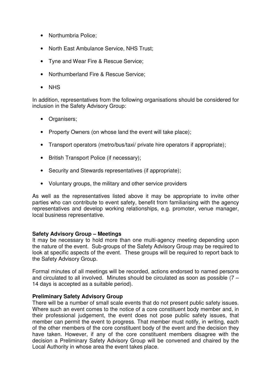- Northumbria Police;
- North East Ambulance Service, NHS Trust;
- Tyne and Wear Fire & Rescue Service;
- Northumberland Fire & Rescue Service;
- NHS

In addition, representatives from the following organisations should be considered for inclusion in the Safety Advisory Group:

- Organisers;
- Property Owners (on whose land the event will take place):
- Transport operators (metro/bus/taxi/ private hire operators if appropriate);
- British Transport Police (if necessary);
- Security and Stewards representatives (if appropriate);
- Voluntary groups, the military and other service providers

As well as the representatives listed above it may be appropriate to invite other parties who can contribute to event safety, benefit from familiarising with the agency representatives and develop working relationships, e.g. promoter, venue manager, local business representative.

## **Safety Advisory Group – Meetings**

It may be necessary to hold more than one multi-agency meeting depending upon the nature of the event. Sub-groups of the Safety Advisory Group may be required to look at specific aspects of the event. These groups will be required to report back to the Safety Advisory Group.

Formal minutes of all meetings will be recorded, actions endorsed to named persons and circulated to all involved. Minutes should be circulated as soon as possible (7 – 14 days is accepted as a suitable period).

## **Preliminary Safety Advisory Group**

There will be a number of small scale events that do not present public safety issues. Where such an event comes to the notice of a core constituent body member and, in their professional judgement, the event does not pose public safety issues, that member can permit the event to progress. That member must notify, in writing, each of the other members of the core constituent body of the event and the decision they have taken. However, if any of the core constituent members disagree with the decision a Preliminary Safety Advisory Group will be convened and chaired by the Local Authority in whose area the event takes place.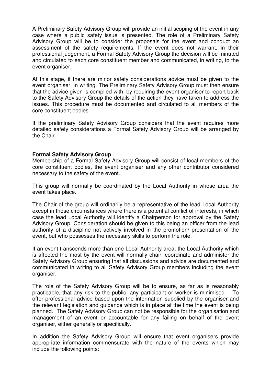A Preliminary Safety Advisory Group will provide an initial scoping of the event in any case where a public safety issue is presented. The role of a Preliminary Safety Advisory Group will be to consider the proposals for the event and conduct an assessment of the safety requirements. If the event does not warrant, in their professional judgement, a Formal Safety Advisory Group the decision will be minuted and circulated to each core constituent member and communicated, in writing, to the event organiser.

At this stage, if there are minor safety considerations advice must be given to the event organiser, in writing. The Preliminary Safety Advisory Group must then ensure that the advice given is complied with, by requiring the event organiser to report back to the Safety Advisory Group the details of the action they have taken to address the issues. This procedure must be documented and circulated to all members of the core constituent bodies.

If the preliminary Safety Advisory Group considers that the event requires more detailed safety considerations a Formal Safety Advisory Group will be arranged by the Chair.

## **Formal Safety Advisory Group**

Membership of a Formal Safety Advisory Group will consist of local members of the core constituent bodies, the event organiser and any other contributor considered necessary to the safety of the event.

This group will normally be coordinated by the Local Authority in whose area the event takes place.

The Chair of the group will ordinarily be a representative of the lead Local Authority except in those circumstances where there is a potential conflict of interests, in which case the lead Local Authority will identify a Chairperson for approval by the Safety Advisory Group. Consideration should be given to this being an officer from the lead authority of a discipline not actively involved in the promotion/ presentation of the event, but who possesses the necessary skills to perform the role.

If an event transcends more than one Local Authority area, the Local Authority which is affected the most by the event will normally chair, coordinate and administer the Safety Advisory Group ensuring that all discussions and advice are documented and communicated in writing to all Safety Advisory Group members including the event organiser.

The role of the Safety Advisory Group will be to ensure, as far as is reasonably practicable, that any risk to the public, any participant or worker is minimised. To offer professional advice based upon the information supplied by the organiser and the relevant legislation and guidance which is in place at the time the event is being planned. The Safety Advisory Group can not be responsible for the organisation and management of an event or accountable for any failing on behalf of the event organiser, either generally or specifically.

In addition the Safety Advisory Group will ensure that event organisers provide appropriate information commensurate with the nature of the events which may include the following points: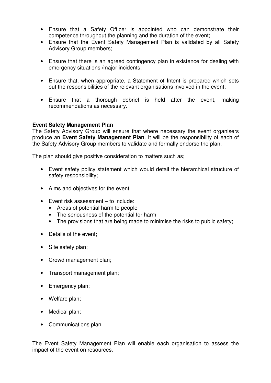- Ensure that a Safety Officer is appointed who can demonstrate their competence throughout the planning and the duration of the event;
- Ensure that the Event Safety Management Plan is validated by all Safety Advisory Group members;
- Ensure that there is an agreed contingency plan in existence for dealing with emergency situations /major incidents;
- Ensure that, when appropriate, a Statement of Intent is prepared which sets out the responsibilities of the relevant organisations involved in the event;
- Ensure that a thorough debrief is held after the event, making recommendations as necessary.

## **Event Safety Management Plan**

The Safety Advisory Group will ensure that where necessary the event organisers produce an **Event Safety Management Plan**. It will be the responsibility of each of the Safety Advisory Group members to validate and formally endorse the plan.

The plan should give positive consideration to matters such as;

- Event safety policy statement which would detail the hierarchical structure of safety responsibility;
- Aims and objectives for the event
- Event risk assessment to include:
	- Areas of potential harm to people
	- The seriousness of the potential for harm
	- The provisions that are being made to minimise the risks to public safety;
- Details of the event;
- Site safety plan;
- Crowd management plan;
- Transport management plan;
- Emergency plan;
- Welfare plan;
- Medical plan;
- Communications plan

The Event Safety Management Plan will enable each organisation to assess the impact of the event on resources.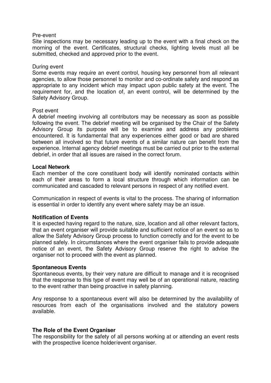#### Pre-event

Site inspections may be necessary leading up to the event with a final check on the morning of the event. Certificates, structural checks, lighting levels must all be submitted, checked and approved prior to the event.

#### During event

Some events may require an event control, housing key personnel from all relevant agencies, to allow those personnel to monitor and co-ordinate safety and respond as appropriate to any incident which may impact upon public safety at the event. The requirement for, and the location of, an event control, will be determined by the Safety Advisory Group.

#### Post event

A debrief meeting involving all contributors may be necessary as soon as possible following the event. The debrief meeting will be organised by the Chair of the Safety Advisory Group its purpose will be to examine and address any problems encountered. It is fundamental that any experiences either good or bad are shared between all involved so that future events of a similar nature can benefit from the experience. Internal agency debrief meetings must be carried out prior to the external debrief, in order that all issues are raised in the correct forum.

#### **Local Network**

Each member of the core constituent body will identify nominated contacts within each of their areas to form a local structure through which information can be communicated and cascaded to relevant persons in respect of any notified event.

Communication in respect of events is vital to the process. The sharing of information is essential in order to identify any event where safety may be an issue.

## **Notification of Events**

It is expected having regard to the nature, size, location and all other relevant factors, that an event organiser will provide suitable and sufficient notice of an event so as to allow the Safety Advisory Group process to function correctly and for the event to be planned safely. In circumstances where the event organiser fails to provide adequate notice of an event, the Safety Advisory Group reserve the right to advise the organiser not to proceed with the event as planned.

#### **Spontaneous Events**

Spontaneous events, by their very nature are difficult to manage and it is recognised that the response to this type of event may well be of an operational nature, reacting to the event rather than being proactive in safety planning.

Any response to a spontaneous event will also be determined by the availability of resources from each of the organisations involved and the statutory powers available.

## **The Role of the Event Organiser**

The responsibility for the safety of all persons working at or attending an event rests with the prospective licence holder/event organiser.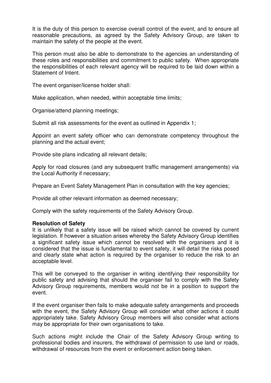It is the duty of this person to exercise overall control of the event, and to ensure all reasonable precautions, as agreed by the Safety Advisory Group, are taken to maintain the safety of the people at the event.

This person must also be able to demonstrate to the agencies an understanding of these roles and responsibilities and commitment to public safety. When appropriate the responsibilities of each relevant agency will be required to be laid down within a Statement of Intent.

The event organiser/license holder shall:

Make application, when needed, within acceptable time limits;

Organise/attend planning meetings;

Submit all risk assessments for the event as outlined in Appendix 1;

Appoint an event safety officer who can demonstrate competency throughout the planning and the actual event;

Provide site plans indicating all relevant details;

Apply for road closures (and any subsequent traffic management arrangements) via the Local Authority if necessary;

Prepare an Event Safety Management Plan in consultation with the key agencies;

Provide all other relevant information as deemed necessary;

Comply with the safety requirements of the Safety Advisory Group.

#### **Resolution of Safety**

It is unlikely that a safety issue will be raised which cannot be covered by current legislation. If however a situation arises whereby the Safety Advisory Group identifies a significant safety issue which cannot be resolved with the organisers and it is considered that the issue is fundamental to event safety, it will detail the risks posed and clearly state what action is required by the organiser to reduce the risk to an acceptable level.

This will be conveyed to the organiser in writing identifying their responsibility for public safety and advising that should the organiser fail to comply with the Safety Advisory Group requirements, members would not be in a position to support the event.

If the event organiser then fails to make adequate safety arrangements and proceeds with the event, the Safety Advisory Group will consider what other actions it could appropriately take. Safety Advisory Group members will also consider what actions may be appropriate for their own organisations to take.

Such actions might include the Chair of the Safety Advisory Group writing to professional bodies and insurers, the withdrawal of permission to use land or roads, withdrawal of resources from the event or enforcement action being taken.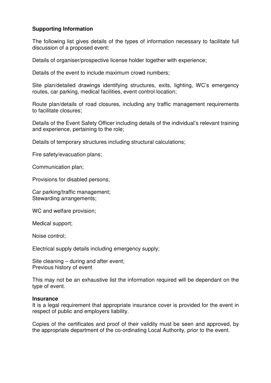# **Supporting Information**

The following list gives details of the types of information necessary to facilitate full discussion of a proposed event:

Details of organiser/prospective license holder together with experience;

Details of the event to include maximum crowd numbers;

Site plan/detailed drawings identifying structures, exits, lighting, WC's emergency routes, car parking, medical facilities, event control location;

Route plan/details of road closures, including any traffic management requirements to facilitate closures;

Details of the Event Safety Officer including details of the individual's relevant training and experience, pertaining to the role;

Details of temporary structures including structural calculations;

Fire safety/evacuation plans;

Communication plan;

Provisions for disabled persons;

Car parking/traffic management; Stewarding arrangements;

WC and welfare provision;

Medical support;

Noise control;

Electrical supply details including emergency supply;

Site cleaning – during and after event; Previous history of event

This may not be an exhaustive list the information required will be dependant on the type of event.

#### **Insurance**

It is a legal requirement that appropriate insurance cover is provided for the event in respect of public and employers liability.

Copies of the certificates and proof of their validity must be seen and approved, by the appropriate department of the co-ordinating Local Authority, prior to the event.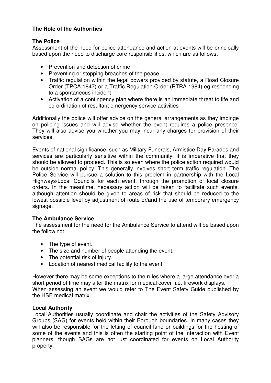# **The Role of the Authorities**

# **The Police**

Assessment of the need for police attendance and action at events will be principally based upon the need to discharge core responsibilities, which are as follows:

- Prevention and detection of crime
- Preventing or stopping breaches of the peace
- Traffic regulation within the legal powers provided by statute, a Road Closure Order (TPCA 1847) or a Traffic Regulation Order (RTRA 1984) eg responding to a spontaneous incident
- Activation of a contingency plan where there is an immediate threat to life and co-ordination of resultant emergency service activities

Additionally the police will offer advice on the general arrangements as they impinge on policing issues and will advise whether the event requires a police presence. They will also advise you whether you may incur any charges for provision of their services.

Events of national significance, such as Military Funerals, Armistice Day Parades and services are particularly sensitive within the community, it is imperative that they should be allowed to proceed. This is so even where the police action required would be outside normal policy. This generally involves short term traffic regulation. The Police Service will pursue a solution to this problem in partnership with the Local Highways/Local Councils for each event, through the promotion of local closure orders. In the meantime, necessary action will be taken to facilitate such events, although attention should be given to areas of risk that should be reduced to the lowest possible level by adjustment of route or/and the use of temporary emergency signage.

## **The Ambulance Service**

The assessment for the need for the Ambulance Service to attend will be based upon the following:

- The type of event.
- The size and number of people attending the event.
- The potential risk of injury.
- Location of nearest medical facility to the event.

However there may be some exceptions to the rules where a large attendance over a short period of time may alter the matrix for medical cover .i.e. firework displays. When assessing an event we would refer to The Event Safety Guide published by the HSE medical matrix.

## **Local Authority**

Local Authorities usually coordinate and chair the activities of the Safety Advisory Groups (SAG) for events held within their Borough boundaries. In many cases they will also be responsible for the letting of council land or buildings for the hosting of some of the events and this is often the starting point of the interaction with Event planners, though SAGs are not just coordinated for events on Local Authority property.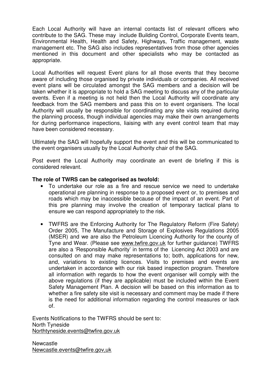Each Local Authority will have an internal contacts list of relevant officers who contribute to the SAG. These may include Building Control, Corporate Events team, Environmental Health, Health and Safety, Highways, Traffic management, waste management etc. The SAG also includes representatives from those other agencies mentioned in this document and other specialists who may be contacted as appropriate.

Local Authorities will request Event plans for all those events that they become aware of including those organised by private individuals or companies. All received event plans will be circulated amongst the SAG members and a decision will be taken whether it is appropriate to hold a SAG meeting to discuss any of the particular events. Even if a meeting is not held then the Local Authority will coordinate any feedback from the SAG members and pass this on to event organisers. The local Authority will usually be responsible for coordinating any site visits required during the planning process, though individual agencies may make their own arrangements for during performance inspections, liaising with any event control team that may have been considered necessary.

Ultimately the SAG will hopefully support the event and this will be communicated to the event organisers usually by the Local Authority chair of the SAG.

Post event the Local Authority may coordinate an event de briefing if this is considered relevant.

## **The role of TWRS can be categorised as twofold:**

- To undertake our role as a fire and rescue service we need to undertake operational pre planning in response to a proposed event or, to premises and roads which may be inaccessible because of the impact of an event. Part of this pre planning may involve the creation of temporary tactical plans to ensure we can respond appropriately to the risk.
- TWFRS are the Enforcing Authority for The Regulatory Reform (Fire Safety) Order 2005, The Manufacture and Storage of Explosives Regulations 2005 (MSER) and we are also the Petroleum Licencing Authority for the county of Tyne and Wear. (Please see www.twfire.gov.uk for further guidance) TWFRS are also a 'Responsible Authority' in terms of the Licencing Act 2003 and are consulted on and may make representations to; both, applications for new, and, variations to existing licences. Visits to premises and events are undertaken in accordance with our risk based inspection program. Therefore all information with regards to how the event organiser will comply with the above regulations (if they are applicable) must be included within the Event Safety Management Plan. A decision will be based on this information as to whether a fire safety site visit is necessary and comment may be made if there is the need for additional information regarding the control measures or lack of.

Events Notifications to the TWFRS should be sent to: North Tyneside Northtyneside.events@twfire.gov.uk

**Newcastle** Newcastle.events@twfire.gov,uk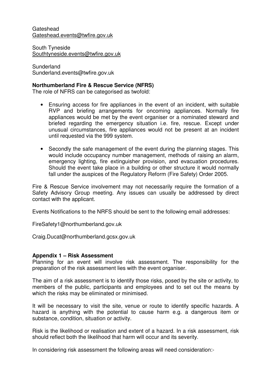Gateshead Gateshead.events@twfire.gov.uk

South Tyneside Southtyneside.events@twfire.gov.uk

Sunderland Sunderland.events@twfire.gov.uk

## **Northumberland Fire & Rescue Service (NFRS)**

The role of NFRS can be categorised as twofold:

- Ensuring access for fire appliances in the event of an incident, with suitable RVP and briefing arrangements for oncoming appliances. Normally fire appliances would be met by the event organiser or a nominated steward and briefed regarding the emergency situation i.e. fire, rescue. Except under unusual circumstances, fire appliances would not be present at an incident until requested via the 999 system.
- Secondly the safe management of the event during the planning stages. This would include occupancy number management, methods of raising an alarm, emergency lighting, fire extinguisher provision, and evacuation procedures. Should the event take place in a building or other structure it would normally fall under the auspices of the Regulatory Reform (Fire Safety) Order 2005.

Fire & Rescue Service involvement may not necessarily require the formation of a Safety Advisory Group meeting. Any issues can usually be addressed by direct contact with the applicant.

Events Notifications to the NRFS should be sent to the following email addresses:

FireSafety1@northumberland.gov.uk

Craig.Ducat@northumberland.gcsx.gov.uk

## **Appendix 1 – Risk Assessment**

Planning for an event will involve risk assessment. The responsibility for the preparation of the risk assessment lies with the event organiser.

The aim of a risk assessment is to identify those risks, posed by the site or activity, to members of the public, participants and employees and to set out the means by which the risks may be eliminated or minimised.

It will be necessary to visit the site, venue or route to identify specific hazards. A hazard is anything with the potential to cause harm e.g. a dangerous item or substance, condition, situation or activity.

Risk is the likelihood or realisation and extent of a hazard. In a risk assessment, risk should reflect both the likelihood that harm will occur and its severity.

In considering risk assessment the following areas will need consideration:-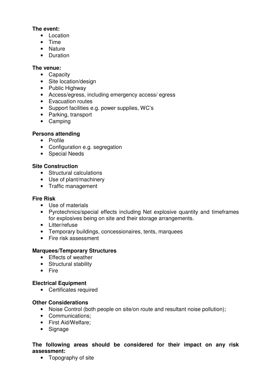# **The event:**

- Location
- Time
- Nature
- Duration

# **The venue:**

- Capacity
- Site location/design
- Public Highway
- Access/egress, including emergency access/ egress
- Evacuation routes
- Support facilities e.g. power supplies, WC's
- Parking, transport
- Camping

# **Persons attending**

- Profile
- Configuration e.g. segregation
- Special Needs

# **Site Construction**

- Structural calculations
- Use of plant/machinery
- Traffic management

# **Fire Risk**

- Use of materials
- Pyrotechnics/special effects including Net explosive quantity and timeframes for explosives being on site and their storage arrangements.
- Litter/refuse
- Temporary buildings, concessionaires, tents, marquees
- Fire risk assessment

# **Marquees/Temporary Structures**

- Effects of weather
- Structural stability
- Fire

# **Electrical Equipment**

• Certificates required

# **Other Considerations**

- Noise Control (both people on site/on route and resultant noise pollution);
- Communications;
- First Aid/Welfare;
- Signage

# **The following areas should be considered for their impact on any risk assessment:**

• Topography of site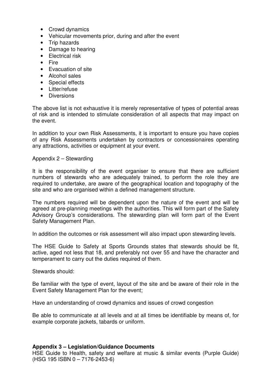- Crowd dynamics
- Vehicular movements prior, during and after the event
- Trip hazards
- Damage to hearing
- Electrical risk
- Fire
- Evacuation of site
- Alcohol sales
- Special effects
- Litter/refuse
- Diversions

The above list is not exhaustive it is merely representative of types of potential areas of risk and is intended to stimulate consideration of all aspects that may impact on the event.

In addition to your own Risk Assessments, it is important to ensure you have copies of any Risk Assessments undertaken by contractors or concessionaires operating any attractions, activities or equipment at your event.

#### Appendix 2 – Stewarding

It is the responsibility of the event organiser to ensure that there are sufficient numbers of stewards who are adequately trained, to perform the role they are required to undertake, are aware of the geographical location and topography of the site and who are organised within a defined management structure.

The numbers required will be dependent upon the nature of the event and will be agreed at pre-planning meetings with the authorities. This will form part of the Safety Advisory Group's considerations. The stewarding plan will form part of the Event Safety Management Plan.

In addition the outcomes or risk assessment will also impact upon stewarding levels.

The HSE Guide to Safety at Sports Grounds states that stewards should be fit, active, aged not less that 18, and preferably not over 55 and have the character and temperament to carry out the duties required of them.

Stewards should:

Be familiar with the type of event, layout of the site and be aware of their role in the Event Safety Management Plan for the event;

Have an understanding of crowd dynamics and issues of crowd congestion

Be able to communicate at all levels and at all times be identifiable by means of, for example corporate jackets, tabards or uniform.

#### **Appendix 3 – Legislation/Guidance Documents**

HSE Guide to Health, safety and welfare at music & similar events (Purple Guide) (HSG 195 ISBN 0 – 7176-2453-6)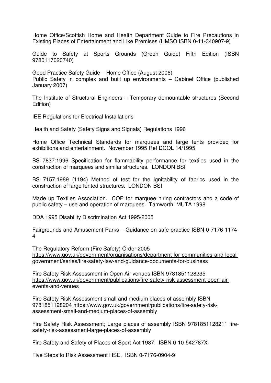Home Office/Scottish Home and Health Department Guide to Fire Precautions in Existing Places of Entertainment and Like Premises (HMSO ISBN 0-11-340907-9)

Guide to Safety at Sports Grounds (Green Guide) Fifth Edition (ISBN 9780117020740)

Good Practice Safety Guide – Home Office (August 2006) Public Safety in complex and built up environments – Cabinet Office (published January 2007)

The Institute of Structural Engineers – Temporary demountable structures (Second Edition)

IEE Regulations for Electrical Installations

Health and Safety (Safety Signs and Signals) Regulations 1996

Home Office Technical Standards for marquees and large tents provided for exhibitions and entertainment. November 1995 Ref DCOL 14/1995

BS 7837:1996 Specification for flammability performance for textiles used in the construction of marquees and similar structures. LONDON BSI

BS 7157:1989 (1194) Method of test for the ignitability of fabrics used in the construction of large tented structures. LONDON BSI

Made up Textiles Association. COP for marquee hiring contractors and a code of public safety – use and operation of marquees. Tamworth: MUTA 1998

DDA 1995 Disability Discrimination Act 1995/2005

Fairgrounds and Amusement Parks – Guidance on safe practice ISBN 0-7176-1174- 4

The Regulatory Reform (Fire Safety) Order 2005 https://www.gov.uk/government/organisations/department-for-communities-and-localgovernment/series/fire-safety-law-and-guidance-documents-for-business

Fire Safety Risk Assessment in Open Air venues ISBN 9781851128235 https://www.gov.uk/government/publications/fire-safety-risk-assessment-open-airevents-and-venues

Fire Safety Risk Assessment small and medium places of assembly ISBN 9781851128204 https://www.gov.uk/government/publications/fire-safety-riskassessment-small-and-medium-places-of-assembly

Fire Safety Risk Assessment; Large places of assembly ISBN 9781851128211 firesafety-risk-assessment-large-places-of-assembly

Fire Safety and Safety of Places of Sport Act 1987. ISBN 0-10-542787X

Five Steps to Risk Assessment HSE. ISBN 0-7176-0904-9